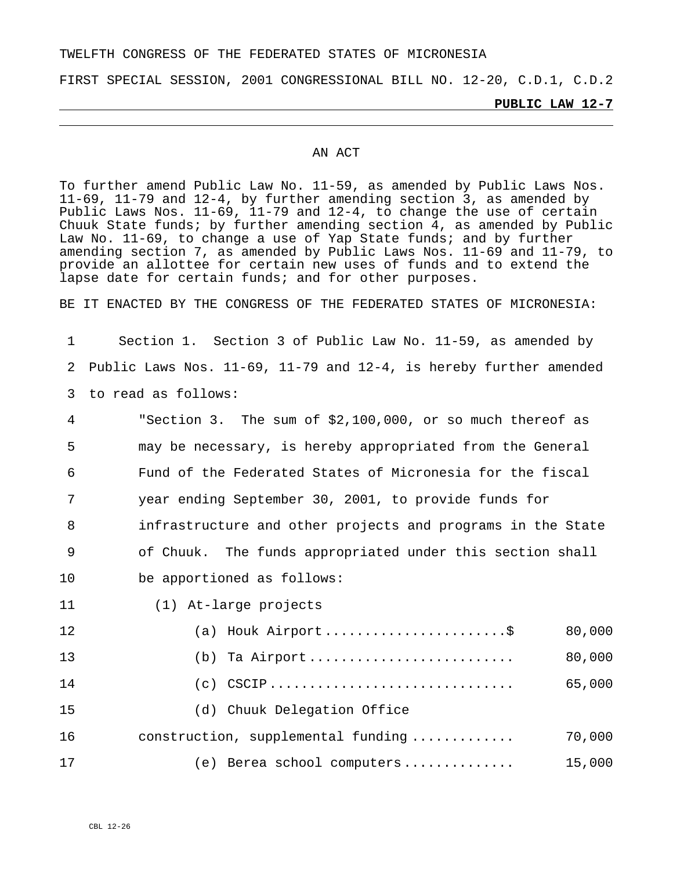#### TWELFTH CONGRESS OF THE FEDERATED STATES OF MICRONESIA

FIRST SPECIAL SESSION, 2001 CONGRESSIONAL BILL NO. 12-20, C.D.1, C.D.2

#### **PUBLIC LAW 12-7**

#### AN ACT

To further amend Public Law No. 11-59, as amended by Public Laws Nos. 11-69, 11-79 and 12-4, by further amending section 3, as amended by Public Laws Nos. 11-69, 11-79 and 12-4, to change the use of certain Chuuk State funds; by further amending section 4, as amended by Public Law No. 11-69, to change a use of Yap State funds; and by further amending section 7, as amended by Public Laws Nos. 11-69 and 11-79, to provide an allottee for certain new uses of funds and to extend the lapse date for certain funds; and for other purposes.

BE IT ENACTED BY THE CONGRESS OF THE FEDERATED STATES OF MICRONESIA:

1 2 3 to read as follows: Section 1. Section 3 of Public Law No. 11-59, as amended by Public Laws Nos. 11-69, 11-79 and 12-4, is hereby further amended

4 5 6 7 8 9 10 "Section 3. The sum of \$2,100,000, or so much thereof as may be necessary, is hereby appropriated from the General Fund of the Federated States of Micronesia for the fiscal year ending September 30, 2001, to provide funds for infrastructure and other projects and programs in the State of Chuuk. The funds appropriated under this section shall be apportioned as follows:

| 11 | (1) At-large projects              |        |
|----|------------------------------------|--------|
| 12 | (a) Houk Airport\$                 | 80,000 |
| 13 | $(b)$ Ta Airport                   | 80,000 |
| 14 | $(c)$ CSCIP                        | 65,000 |
| 15 | Chuuk Delegation Office<br>(d)     |        |
| 16 | construction, supplemental funding | 70,000 |
| 17 | (e) Berea school computers         | 15,000 |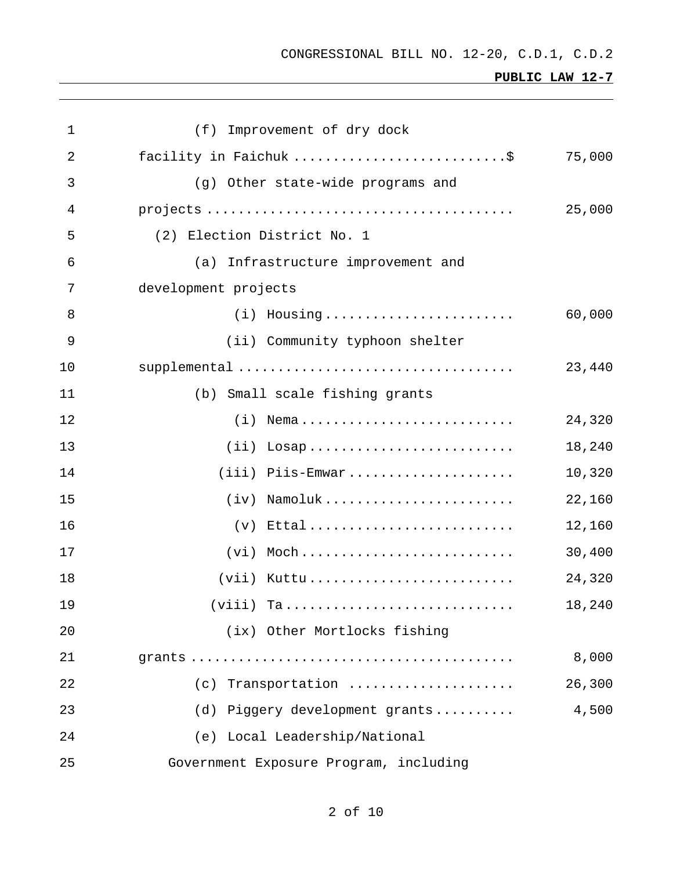| $\mathbf 1$ | (f) Improvement of dry dock                                                                     |        |
|-------------|-------------------------------------------------------------------------------------------------|--------|
| 2           | facility in Faichuk \$                                                                          | 75,000 |
| 3           | (g) Other state-wide programs and                                                               |        |
| 4           | $\text{projects} \dots \dots \dots \dots \dots \dots \dots \dots \dots \dots \dots \dots \dots$ | 25,000 |
| 5           | (2) Election District No. 1                                                                     |        |
| 6           | (a) Infrastructure improvement and                                                              |        |
| 7           | development projects                                                                            |        |
| 8           |                                                                                                 | 60,000 |
| 9           | (ii) Community typhoon shelter                                                                  |        |
| 10          |                                                                                                 | 23,440 |
| 11          | (b) Small scale fishing grants                                                                  |        |
| 12          | $(i)$ Nema                                                                                      | 24,320 |
| 13          | $(i$ i) Losap                                                                                   | 18,240 |
| 14          | $(iii)$ Piis-Emwar                                                                              | 10,320 |
| 15          | $(iv)$ Namoluk                                                                                  | 22,160 |
| 16          | $(v)$ Ettal                                                                                     | 12,160 |
| 17          |                                                                                                 | 30,400 |
| 18          | $(vii)$ Kuttu                                                                                   | 24,320 |
| 19          | $(viii)$ Ta                                                                                     | 18,240 |
| 20          | (ix) Other Mortlocks fishing                                                                    |        |
| 21          |                                                                                                 | 8,000  |
| 22          | (c) Transportation                                                                              | 26,300 |
| 23          | (d) Piggery development grants                                                                  | 4,500  |
| 24          | (e) Local Leadership/National                                                                   |        |
| 25          | Government Exposure Program, including                                                          |        |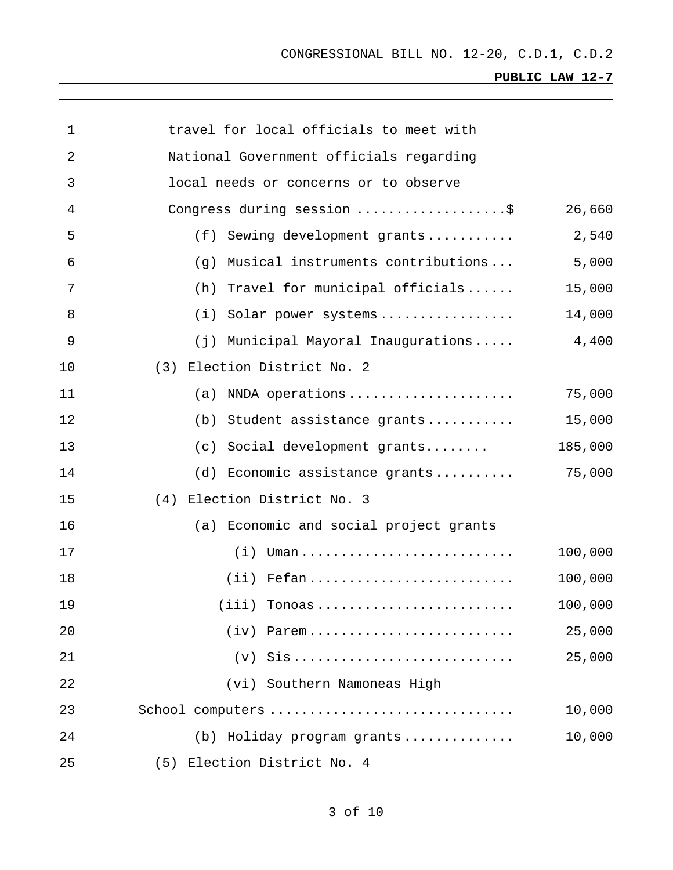| $\mathbf{1}$ | travel for local officials to meet with  |         |
|--------------|------------------------------------------|---------|
| 2            | National Government officials regarding  |         |
| 3            | local needs or concerns or to observe    |         |
| 4            | Congress during session \$               | 26,660  |
| 5            | Sewing development grants<br>(f)         | 2,540   |
| 6            | Musical instruments contributions<br>(q) | 5,000   |
| 7            | Travel for municipal officials<br>(h)    | 15,000  |
| 8            | Solar power systems<br>(i)               | 14,000  |
| 9            | (j) Municipal Mayoral Inaugurations      | 4,400   |
| 10           | Election District No. 2<br>(3)           |         |
| 11           | NNDA operations<br>(a)                   | 75,000  |
| 12           | Student assistance grants<br>(b)         | 15,000  |
| 13           | Social development grants<br>(c)         | 185,000 |
| 14           | (d) Economic assistance grants           | 75,000  |
| 15           | Election District No. 3<br>(4)           |         |
| 16           | (a) Economic and social project grants   |         |
| 17           |                                          | 100,000 |
| 18           | $(i$ i)                                  | 100,000 |
| 19           | $(iii)$ Tonoas                           | 100,000 |
| 20           | $(iv)$ Parem                             | 25,000  |
| 21           |                                          | 25,000  |
| 22           | (vi) Southern Namoneas High              |         |
| 23           | School computers                         | 10,000  |
| 24           | (b) Holiday program grants               | 10,000  |
| 25           | (5) Election District No. 4              |         |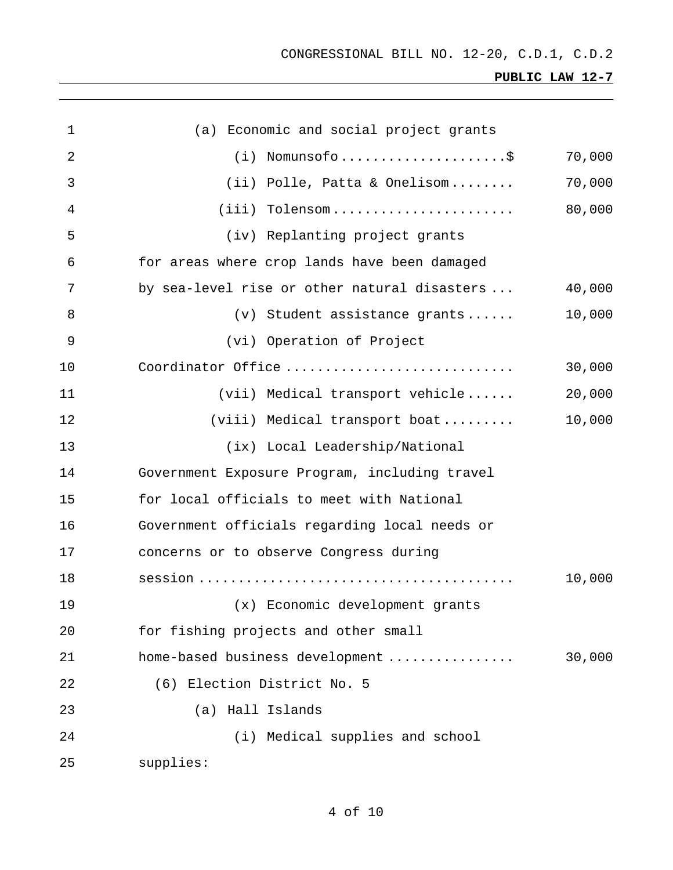| $\mathbf 1$ | (a) Economic and social project grants        |        |
|-------------|-----------------------------------------------|--------|
| 2           |                                               | 70,000 |
| 3           | $(i)$ Polle, Patta & Onelisom                 | 70,000 |
| 4           | $(iii)$ Tolensom                              | 80,000 |
| 5           | (iv) Replanting project grants                |        |
| 6           | for areas where crop lands have been damaged  |        |
| 7           | by sea-level rise or other natural disasters  | 40,000 |
| 8           | $(v)$ Student assistance grants               | 10,000 |
| 9           | (vi) Operation of Project                     |        |
| 10          | Coordinator Office                            | 30,000 |
| 11          | $(vii)$ Medical transport vehicle             | 20,000 |
| 12          | $(viii)$ Medical transport boat               | 10,000 |
| 13          | (ix) Local Leadership/National                |        |
| 14          | Government Exposure Program, including travel |        |
| 15          | for local officials to meet with National     |        |
| 16          | Government officials regarding local needs or |        |
| 17          | concerns or to observe Congress during        |        |
| 18          |                                               | 10,000 |
| 19          | (x) Economic development grants               |        |
| 20          | for fishing projects and other small          |        |
| 21          | home-based business development               | 30,000 |
| 22          | (6) Election District No. 5                   |        |
| 23          | (a) Hall Islands                              |        |
| 24          | (i) Medical supplies and school               |        |
| 25          | supplies:                                     |        |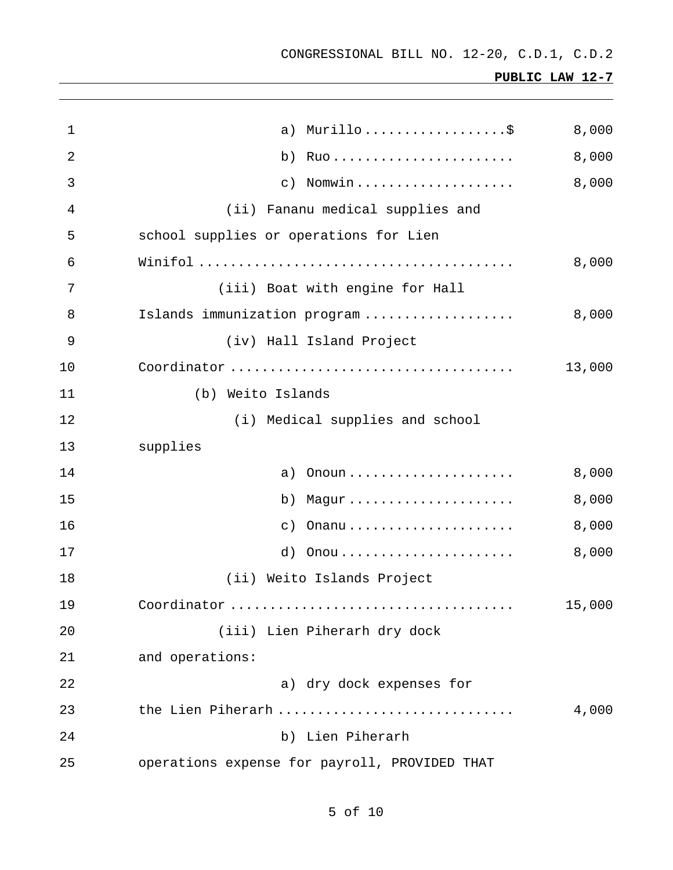| $\mathbf{1}$ | a) Murillo\$                                  | 8,000  |
|--------------|-----------------------------------------------|--------|
| 2            | b) $RuO$                                      | 8,000  |
| 3            | $\circ$ )                                     | 8,000  |
| 4            | (ii) Fananu medical supplies and              |        |
| 5            | school supplies or operations for Lien        |        |
| 6            |                                               | 8,000  |
| 7            | (iii) Boat with engine for Hall               |        |
| 8            | Islands immunization program                  | 8,000  |
| 9            | (iv) Hall Island Project                      |        |
| 10           |                                               | 13,000 |
| 11           | (b) Weito Islands                             |        |
| 12           | (i) Medical supplies and school               |        |
| 13           | supplies                                      |        |
| 14           | a)                                            | 8,000  |
| 15           | b)                                            | 8,000  |
| 16           | $\circ$ )                                     | 8,000  |
| 17           | 0nou<br>d)                                    | 8,000  |
| 18           | (ii) Weito Islands Project                    |        |
| 19           |                                               | 15,000 |
| 20           | (iii) Lien Piherarh dry dock                  |        |
| 21           | and operations:                               |        |
| 22           | a) dry dock expenses for                      |        |
| 23           | the Lien Piherarh                             | 4,000  |
| 24           | b) Lien Piherarh                              |        |
| 25           | operations expense for payroll, PROVIDED THAT |        |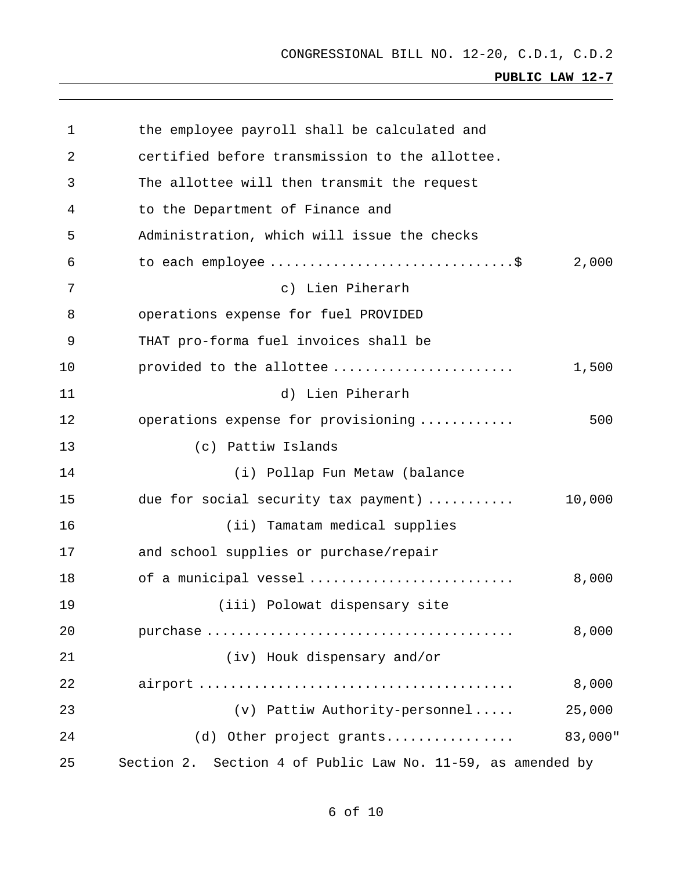| $\mathbf 1$ | the employee payroll shall be calculated and                |         |
|-------------|-------------------------------------------------------------|---------|
| 2           | certified before transmission to the allottee.              |         |
| 3           | The allottee will then transmit the request                 |         |
| 4           | to the Department of Finance and                            |         |
| 5           | Administration, which will issue the checks                 |         |
| 6           | to each employee \$                                         | 2,000   |
| 7           | c) Lien Piherarh                                            |         |
| 8           | operations expense for fuel PROVIDED                        |         |
| 9           | THAT pro-forma fuel invoices shall be                       |         |
| 10          | provided to the allottee                                    | 1,500   |
| 11          | d) Lien Piherarh                                            |         |
| 12          | operations expense for provisioning                         | 500     |
| 13          | (c) Pattiw Islands                                          |         |
| 14          | (i) Pollap Fun Metaw (balance                               |         |
| 15          | due for social security tax payment)                        | 10,000  |
| 16          | (ii) Tamatam medical supplies                               |         |
| 17          | and school supplies or purchase/repair                      |         |
| 18          | of a municipal vessel                                       | 8,000   |
| 19          | (iii) Polowat dispensary site                               |         |
| 20          |                                                             | 8,000   |
| 21          | (iv) Houk dispensary and/or                                 |         |
| 22          |                                                             | 8,000   |
| 23          | (v) Pattiw Authority-personnel                              | 25,000  |
| 24          | (d) Other project grants                                    | 83,000" |
| 25          | Section 2. Section 4 of Public Law No. 11-59, as amended by |         |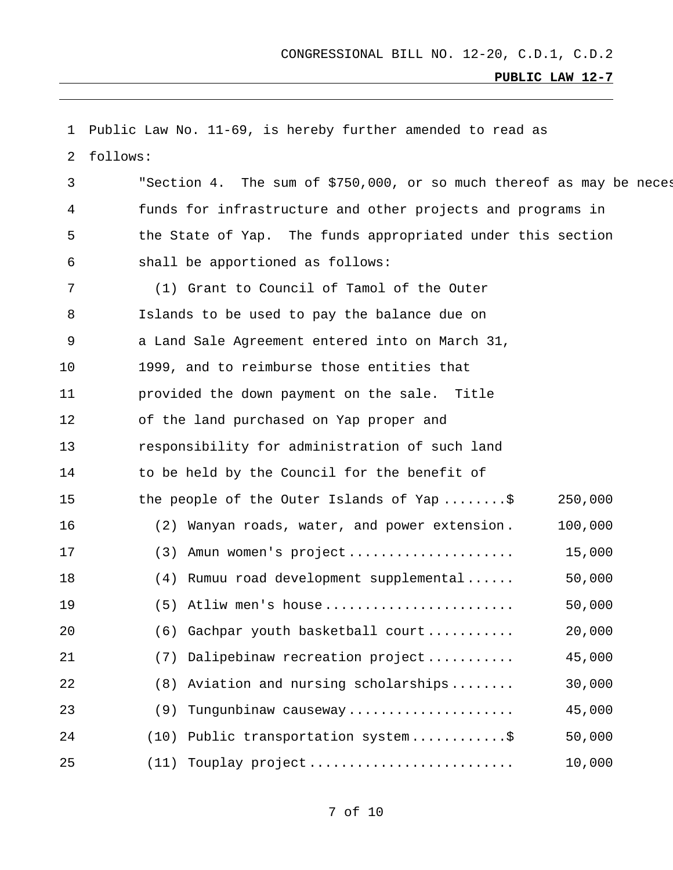| $\mathbf 1$ | Public Law No. 11-69, is hereby further amended to read as           |
|-------------|----------------------------------------------------------------------|
| 2           | follows:                                                             |
| 3           | "Section 4. The sum of \$750,000, or so much thereof as may be neces |
| 4           | funds for infrastructure and other projects and programs in          |
| 5           | the State of Yap. The funds appropriated under this section          |
| 6           | shall be apportioned as follows:                                     |
| 7           | (1) Grant to Council of Tamol of the Outer                           |
| 8           | Islands to be used to pay the balance due on                         |
| 9           | a Land Sale Agreement entered into on March 31,                      |
| 10          | 1999, and to reimburse those entities that                           |
| 11          | provided the down payment on the sale. Title                         |
| 12          | of the land purchased on Yap proper and                              |
| 13          | responsibility for administration of such land                       |
| 14          | to be held by the Council for the benefit of                         |
| 15          | the people of the Outer Islands of Yap \$<br>250,000                 |
| 16          | (2) Wanyan roads, water, and power extension.<br>100,000             |
| 17          | 15,000<br>Amun women's project<br>(3)                                |
| 18          | (4) Rumuu road development supplemental<br>50,000                    |
| 19          | 50,000<br>$(5)$ Atliw men's house                                    |
| 20          | 20,000<br>(6) Gachpar youth basketball court                         |
| 21          | (7) Dalipebinaw recreation project<br>45,000                         |
| 22          | Aviation and nursing scholarships<br>30,000<br>(8)                   |
| 23          | Tungunbinaw causeway<br>45,000<br>(9)                                |
| 24          | (10) Public transportation system\$<br>50,000                        |
| 25          | 10,000<br>Touplay project<br>(11)                                    |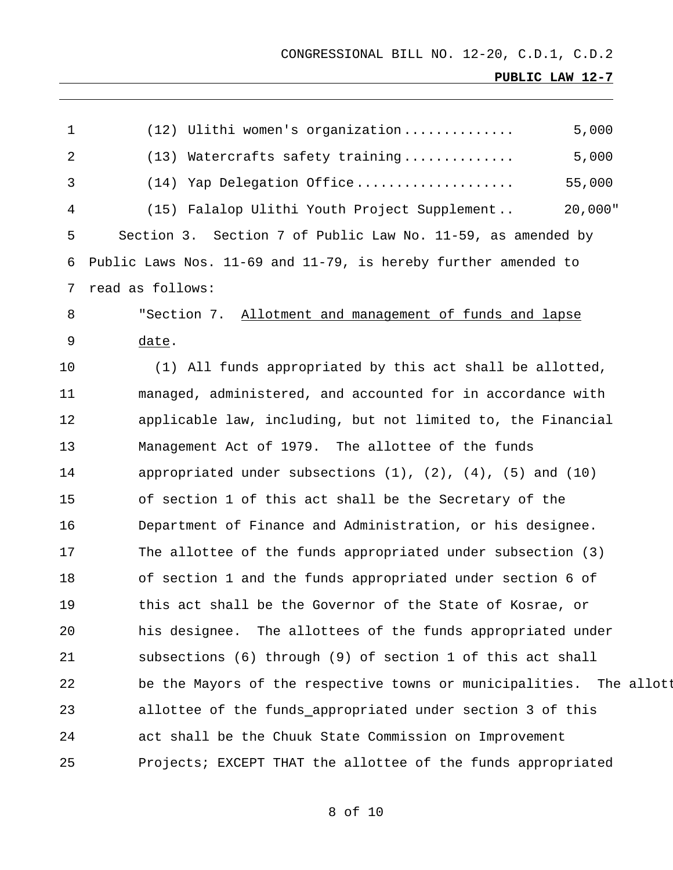| $\mathbf 1$ | 5,000<br>(12) Ulithi women's organization                               |
|-------------|-------------------------------------------------------------------------|
| 2           | (13) Watercrafts safety training<br>5,000                               |
| 3           | (14) Yap Delegation Office<br>55,000                                    |
| 4           | (15) Falalop Ulithi Youth Project Supplement<br>$20,000$ "              |
| 5           | Section 3. Section 7 of Public Law No. 11-59, as amended by             |
| 6           | Public Laws Nos. 11-69 and 11-79, is hereby further amended to          |
| 7           | read as follows:                                                        |
| 8           | "Section 7. Allotment and management of funds and lapse                 |
| 9           | date.                                                                   |
| 10          | (1) All funds appropriated by this act shall be allotted,               |
| 11          | managed, administered, and accounted for in accordance with             |
| 12          | applicable law, including, but not limited to, the Financial            |
| 13          | Management Act of 1979. The allottee of the funds                       |
| 14          | appropriated under subsections $(1)$ , $(2)$ , $(4)$ , $(5)$ and $(10)$ |
| 15          | of section 1 of this act shall be the Secretary of the                  |
| 16          | Department of Finance and Administration, or his designee.              |
| 17          | The allottee of the funds appropriated under subsection (3)             |
| 18          | of section 1 and the funds appropriated under section 6 of              |
| 19          | this act shall be the Governor of the State of Kosrae, or               |
| 20          | his designee. The allottees of the funds appropriated under             |
| 21          | subsections (6) through (9) of section 1 of this act shall              |
| 22          | be the Mayors of the respective towns or municipalities. The allott     |
| 23          | allottee of the funds_appropriated under section 3 of this              |
| 24          | act shall be the Chuuk State Commission on Improvement                  |
| 25          | Projects; EXCEPT THAT the allottee of the funds appropriated            |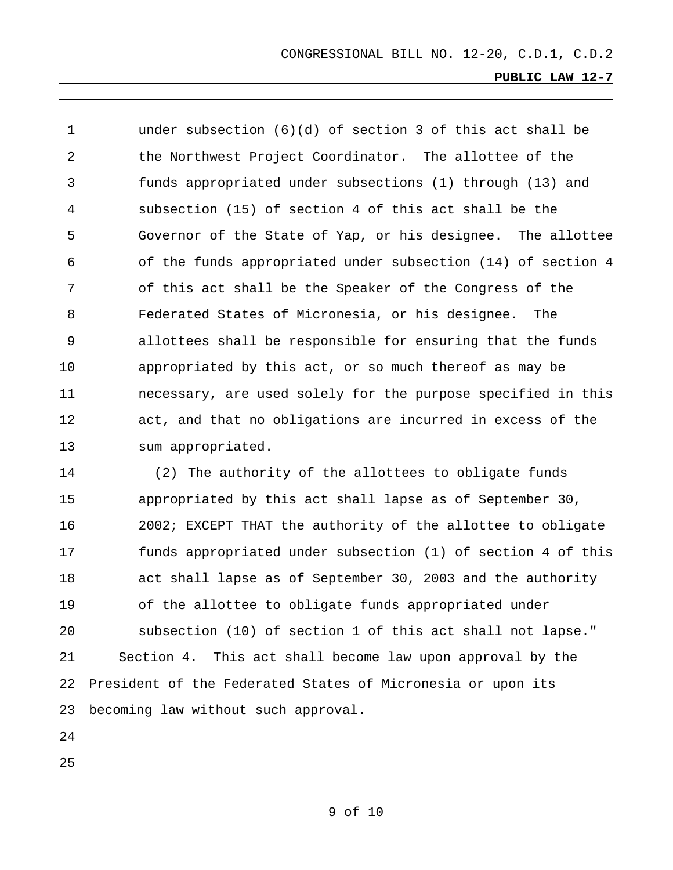1 2 3 4 5 6 7 8 9 10 11 12 13 under subsection (6)(d) of section 3 of this act shall be the Northwest Project Coordinator. The allottee of the funds appropriated under subsections (1) through (13) and subsection (15) of section 4 of this act shall be the Governor of the State of Yap, or his designee. The allottee of the funds appropriated under subsection (14) of section 4 of this act shall be the Speaker of the Congress of the Federated States of Micronesia, or his designee. The allottees shall be responsible for ensuring that the funds appropriated by this act, or so much thereof as may be necessary, are used solely for the purpose specified in this act, and that no obligations are incurred in excess of the sum appropriated.

14 15 16 17 18 19 20 21 22 23 (2) The authority of the allottees to obligate funds appropriated by this act shall lapse as of September 30, 2002; EXCEPT THAT the authority of the allottee to obligate funds appropriated under subsection (1) of section 4 of this act shall lapse as of September 30, 2003 and the authority of the allottee to obligate funds appropriated under subsection (10) of section 1 of this act shall not lapse." Section 4. This act shall become law upon approval by the President of the Federated States of Micronesia or upon its becoming law without such approval.

24

25